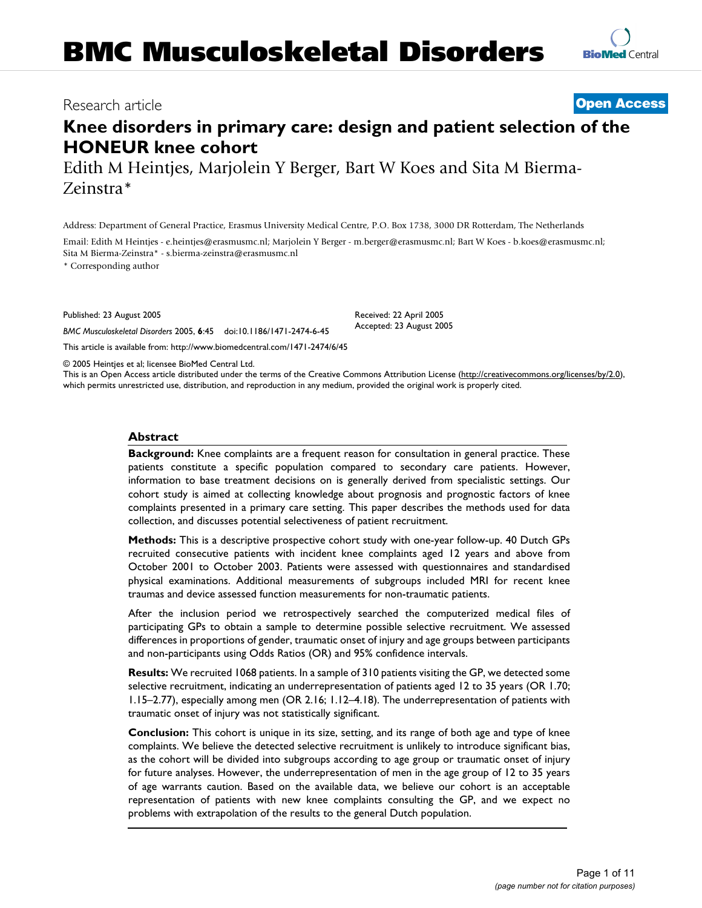# **BMC Musculoskeletal Disorders**



# **Knee disorders in primary care: design and patient selection of the HONEUR knee cohort**

Edith M Heintjes, Marjolein Y Berger, Bart W Koes and Sita M Bierma-Zeinstra\*

Address: Department of General Practice, Erasmus University Medical Centre, P.O. Box 1738, 3000 DR Rotterdam, The Netherlands

Email: Edith M Heintjes - e.heintjes@erasmusmc.nl; Marjolein Y Berger - m.berger@erasmusmc.nl; Bart W Koes - b.koes@erasmusmc.nl; Sita M Bierma-Zeinstra\* - s.bierma-zeinstra@erasmusmc.nl

\* Corresponding author

Published: 23 August 2005

*BMC Musculoskeletal Disorders* 2005, **6**:45 doi:10.1186/1471-2474-6-45

[This article is available from: http://www.biomedcentral.com/1471-2474/6/45](http://www.biomedcentral.com/1471-2474/6/45)

Received: 22 April 2005 Accepted: 23 August 2005

© 2005 Heintjes et al; licensee BioMed Central Ltd.

This is an Open Access article distributed under the terms of the Creative Commons Attribution License [\(http://creativecommons.org/licenses/by/2.0\)](http://creativecommons.org/licenses/by/2.0), which permits unrestricted use, distribution, and reproduction in any medium, provided the original work is properly cited.

### **Abstract**

**Background:** Knee complaints are a frequent reason for consultation in general practice. These patients constitute a specific population compared to secondary care patients. However, information to base treatment decisions on is generally derived from specialistic settings. Our cohort study is aimed at collecting knowledge about prognosis and prognostic factors of knee complaints presented in a primary care setting. This paper describes the methods used for data collection, and discusses potential selectiveness of patient recruitment.

**Methods:** This is a descriptive prospective cohort study with one-year follow-up. 40 Dutch GPs recruited consecutive patients with incident knee complaints aged 12 years and above from October 2001 to October 2003. Patients were assessed with questionnaires and standardised physical examinations. Additional measurements of subgroups included MRI for recent knee traumas and device assessed function measurements for non-traumatic patients.

After the inclusion period we retrospectively searched the computerized medical files of participating GPs to obtain a sample to determine possible selective recruitment. We assessed differences in proportions of gender, traumatic onset of injury and age groups between participants and non-participants using Odds Ratios (OR) and 95% confidence intervals.

**Results:** We recruited 1068 patients. In a sample of 310 patients visiting the GP, we detected some selective recruitment, indicating an underrepresentation of patients aged 12 to 35 years (OR 1.70; 1.15–2.77), especially among men (OR 2.16; 1.12–4.18). The underrepresentation of patients with traumatic onset of injury was not statistically significant.

**Conclusion:** This cohort is unique in its size, setting, and its range of both age and type of knee complaints. We believe the detected selective recruitment is unlikely to introduce significant bias, as the cohort will be divided into subgroups according to age group or traumatic onset of injury for future analyses. However, the underrepresentation of men in the age group of 12 to 35 years of age warrants caution. Based on the available data, we believe our cohort is an acceptable representation of patients with new knee complaints consulting the GP, and we expect no problems with extrapolation of the results to the general Dutch population.

**[BioMed](http://www.biomedcentral.com/)** Central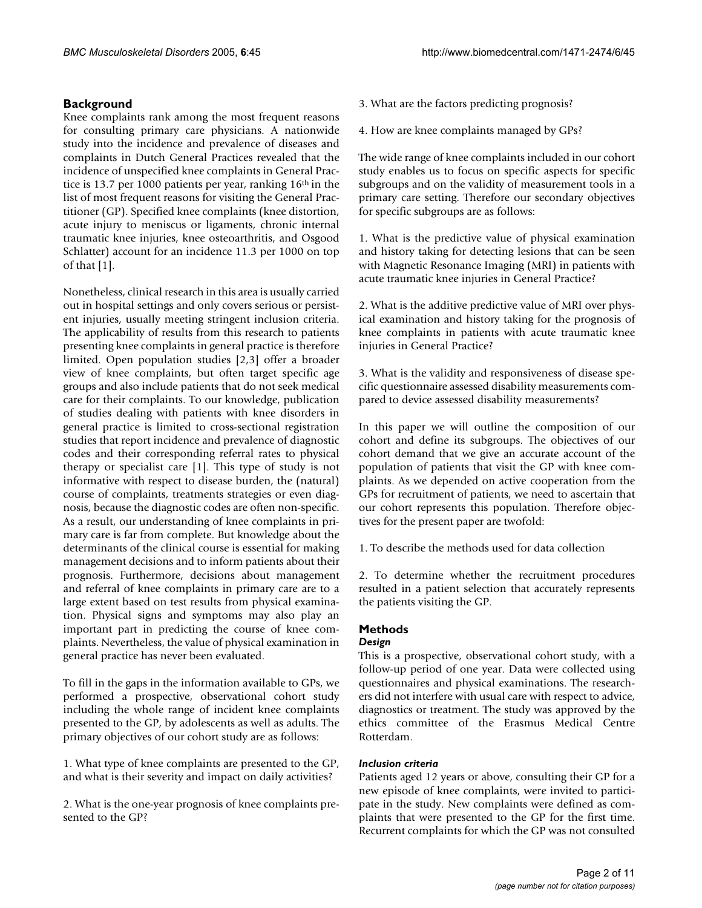# **Background**

Knee complaints rank among the most frequent reasons for consulting primary care physicians. A nationwide study into the incidence and prevalence of diseases and complaints in Dutch General Practices revealed that the incidence of unspecified knee complaints in General Practice is 13.7 per 1000 patients per year, ranking 16th in the list of most frequent reasons for visiting the General Practitioner (GP). Specified knee complaints (knee distortion, acute injury to meniscus or ligaments, chronic internal traumatic knee injuries, knee osteoarthritis, and Osgood Schlatter) account for an incidence 11.3 per 1000 on top of that  $[1]$ .

Nonetheless, clinical research in this area is usually carried out in hospital settings and only covers serious or persistent injuries, usually meeting stringent inclusion criteria. The applicability of results from this research to patients presenting knee complaints in general practice is therefore limited. Open population studies [2,3] offer a broader view of knee complaints, but often target specific age groups and also include patients that do not seek medical care for their complaints. To our knowledge, publication of studies dealing with patients with knee disorders in general practice is limited to cross-sectional registration studies that report incidence and prevalence of diagnostic codes and their corresponding referral rates to physical therapy or specialist care [1]. This type of study is not informative with respect to disease burden, the (natural) course of complaints, treatments strategies or even diagnosis, because the diagnostic codes are often non-specific. As a result, our understanding of knee complaints in primary care is far from complete. But knowledge about the determinants of the clinical course is essential for making management decisions and to inform patients about their prognosis. Furthermore, decisions about management and referral of knee complaints in primary care are to a large extent based on test results from physical examination. Physical signs and symptoms may also play an important part in predicting the course of knee complaints. Nevertheless, the value of physical examination in general practice has never been evaluated.

To fill in the gaps in the information available to GPs, we performed a prospective, observational cohort study including the whole range of incident knee complaints presented to the GP, by adolescents as well as adults. The primary objectives of our cohort study are as follows:

1. What type of knee complaints are presented to the GP, and what is their severity and impact on daily activities?

2. What is the one-year prognosis of knee complaints presented to the GP?

- 3. What are the factors predicting prognosis?
- 4. How are knee complaints managed by GPs?

The wide range of knee complaints included in our cohort study enables us to focus on specific aspects for specific subgroups and on the validity of measurement tools in a primary care setting. Therefore our secondary objectives for specific subgroups are as follows:

1. What is the predictive value of physical examination and history taking for detecting lesions that can be seen with Magnetic Resonance Imaging (MRI) in patients with acute traumatic knee injuries in General Practice?

2. What is the additive predictive value of MRI over physical examination and history taking for the prognosis of knee complaints in patients with acute traumatic knee injuries in General Practice?

3. What is the validity and responsiveness of disease specific questionnaire assessed disability measurements compared to device assessed disability measurements?

In this paper we will outline the composition of our cohort and define its subgroups. The objectives of our cohort demand that we give an accurate account of the population of patients that visit the GP with knee complaints. As we depended on active cooperation from the GPs for recruitment of patients, we need to ascertain that our cohort represents this population. Therefore objectives for the present paper are twofold:

1. To describe the methods used for data collection

2. To determine whether the recruitment procedures resulted in a patient selection that accurately represents the patients visiting the GP.

# **Methods**

# *Design*

This is a prospective, observational cohort study, with a follow-up period of one year. Data were collected using questionnaires and physical examinations. The researchers did not interfere with usual care with respect to advice, diagnostics or treatment. The study was approved by the ethics committee of the Erasmus Medical Centre Rotterdam.

## *Inclusion criteria*

Patients aged 12 years or above, consulting their GP for a new episode of knee complaints, were invited to participate in the study. New complaints were defined as complaints that were presented to the GP for the first time. Recurrent complaints for which the GP was not consulted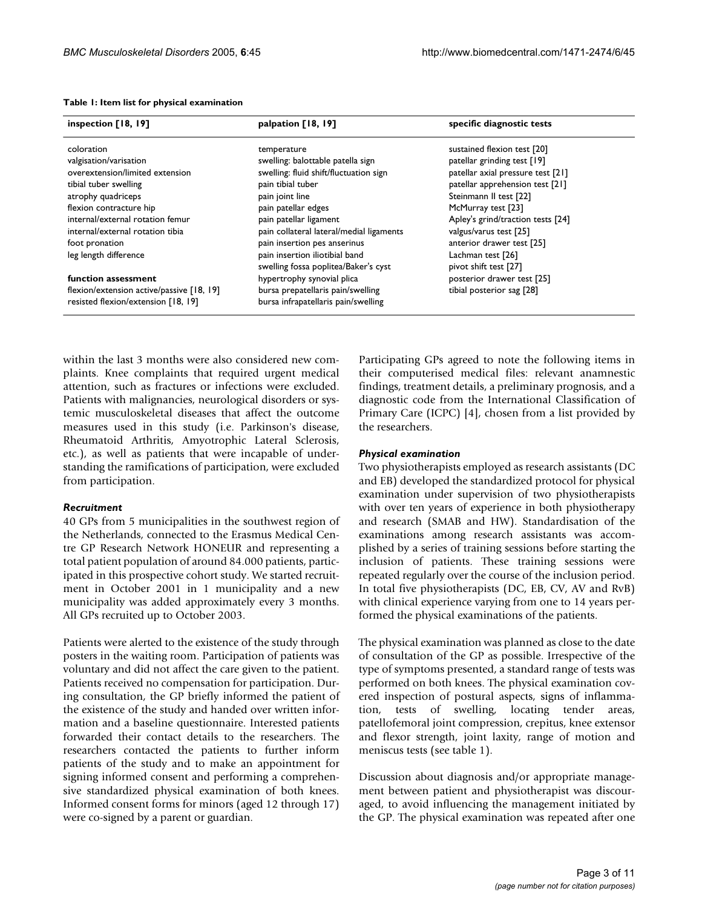| inspection [18, 19]                       | palpation [18, 19]                       | specific diagnostic tests         |  |  |
|-------------------------------------------|------------------------------------------|-----------------------------------|--|--|
| coloration                                | temperature                              | sustained flexion test [20]       |  |  |
| valgisation/varisation                    | swelling: balottable patella sign        | patellar grinding test [19]       |  |  |
| overextension/limited extension           | swelling: fluid shift/fluctuation sign   | patellar axial pressure test [21] |  |  |
| tibial tuber swelling                     | pain tibial tuber                        | patellar apprehension test [21]   |  |  |
| atrophy quadriceps                        | pain joint line                          | Steinmann II test [22]            |  |  |
| flexion contracture hip                   | pain patellar edges                      | McMurray test [23]                |  |  |
| internal/external rotation femur          | pain patellar ligament                   | Apley's grind/traction tests [24] |  |  |
| internal/external rotation tibia          | pain collateral lateral/medial ligaments | valgus/varus test [25]            |  |  |
| foot pronation                            | pain insertion pes anserinus             | anterior drawer test [25]         |  |  |
| leg length difference                     | pain insertion iliotibial band           | Lachman test [26]                 |  |  |
|                                           | swelling fossa poplitea/Baker's cyst     | pivot shift test [27]             |  |  |
| function assessment                       | hypertrophy synovial plica               | posterior drawer test [25]        |  |  |
| flexion/extension active/passive [18, 19] | bursa prepatellaris pain/swelling        | tibial posterior sag [28]         |  |  |
| resisted flexion/extension [18, 19]       | bursa infrapatellaris pain/swelling      |                                   |  |  |

#### **Table 1: Item list for physical examination**

within the last 3 months were also considered new complaints. Knee complaints that required urgent medical attention, such as fractures or infections were excluded. Patients with malignancies, neurological disorders or systemic musculoskeletal diseases that affect the outcome measures used in this study (i.e. Parkinson's disease, Rheumatoid Arthritis, Amyotrophic Lateral Sclerosis, etc.), as well as patients that were incapable of understanding the ramifications of participation, were excluded from participation.

#### *Recruitment*

40 GPs from 5 municipalities in the southwest region of the Netherlands, connected to the Erasmus Medical Centre GP Research Network HONEUR and representing a total patient population of around 84.000 patients, participated in this prospective cohort study. We started recruitment in October 2001 in 1 municipality and a new municipality was added approximately every 3 months. All GPs recruited up to October 2003.

Patients were alerted to the existence of the study through posters in the waiting room. Participation of patients was voluntary and did not affect the care given to the patient. Patients received no compensation for participation. During consultation, the GP briefly informed the patient of the existence of the study and handed over written information and a baseline questionnaire. Interested patients forwarded their contact details to the researchers. The researchers contacted the patients to further inform patients of the study and to make an appointment for signing informed consent and performing a comprehensive standardized physical examination of both knees. Informed consent forms for minors (aged 12 through 17) were co-signed by a parent or guardian.

Participating GPs agreed to note the following items in their computerised medical files: relevant anamnestic findings, treatment details, a preliminary prognosis, and a diagnostic code from the International Classification of Primary Care (ICPC) [4], chosen from a list provided by the researchers.

#### *Physical examination*

Two physiotherapists employed as research assistants (DC and EB) developed the standardized protocol for physical examination under supervision of two physiotherapists with over ten years of experience in both physiotherapy and research (SMAB and HW). Standardisation of the examinations among research assistants was accomplished by a series of training sessions before starting the inclusion of patients. These training sessions were repeated regularly over the course of the inclusion period. In total five physiotherapists (DC, EB, CV, AV and RvB) with clinical experience varying from one to 14 years performed the physical examinations of the patients.

The physical examination was planned as close to the date of consultation of the GP as possible. Irrespective of the type of symptoms presented, a standard range of tests was performed on both knees. The physical examination covered inspection of postural aspects, signs of inflammation, tests of swelling, locating tender areas, patellofemoral joint compression, crepitus, knee extensor and flexor strength, joint laxity, range of motion and meniscus tests (see table 1).

Discussion about diagnosis and/or appropriate management between patient and physiotherapist was discouraged, to avoid influencing the management initiated by the GP. The physical examination was repeated after one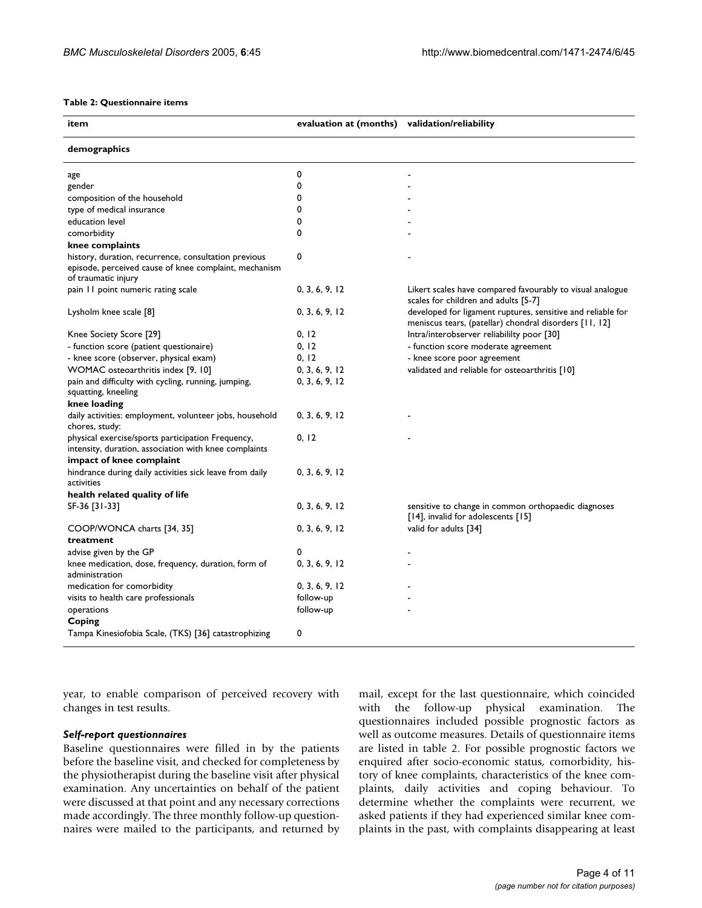#### **Table 2: Questionnaire items**

| item                                                                                                                                   | evaluation at (months) validation/reliability |                                                                                                                       |  |  |  |
|----------------------------------------------------------------------------------------------------------------------------------------|-----------------------------------------------|-----------------------------------------------------------------------------------------------------------------------|--|--|--|
| demographics                                                                                                                           |                                               |                                                                                                                       |  |  |  |
| age                                                                                                                                    | 0                                             |                                                                                                                       |  |  |  |
| gender                                                                                                                                 | 0                                             |                                                                                                                       |  |  |  |
| composition of the household                                                                                                           | 0                                             |                                                                                                                       |  |  |  |
| type of medical insurance                                                                                                              | 0                                             |                                                                                                                       |  |  |  |
| education level                                                                                                                        | 0                                             |                                                                                                                       |  |  |  |
| comorbidity                                                                                                                            | 0                                             |                                                                                                                       |  |  |  |
| knee complaints                                                                                                                        |                                               |                                                                                                                       |  |  |  |
| history, duration, recurrence, consultation previous<br>episode, perceived cause of knee complaint, mechanism<br>of traumatic injury   | 0                                             |                                                                                                                       |  |  |  |
| pain 11 point numeric rating scale                                                                                                     | 0, 3, 6, 9, 12                                | Likert scales have compared favourably to visual analogue<br>scales for children and adults [5-7]                     |  |  |  |
| Lysholm knee scale [8]                                                                                                                 | 0, 3, 6, 9, 12                                | developed for ligament ruptures, sensitive and reliable for<br>meniscus tears, (patellar) chondral disorders [11, 12] |  |  |  |
| Knee Society Score [29]                                                                                                                | 0, 12                                         | Intra/interobserver reliabililty poor [30]                                                                            |  |  |  |
| - function score (patient questionaire)                                                                                                | 0, 12                                         | - function score moderate agreement                                                                                   |  |  |  |
| - knee score (observer, physical exam)                                                                                                 | 0, 12                                         | - knee score poor agreement                                                                                           |  |  |  |
| WOMAC osteoarthritis index [9, 10]                                                                                                     | 0, 3, 6, 9, 12                                | validated and reliable for osteoarthritis [10]                                                                        |  |  |  |
| pain and difficulty with cycling, running, jumping,<br>squatting, kneeling                                                             | 0, 3, 6, 9, 12                                |                                                                                                                       |  |  |  |
| knee loading                                                                                                                           |                                               |                                                                                                                       |  |  |  |
| daily activities: employment, volunteer jobs, household<br>chores, study:                                                              | 0, 3, 6, 9, 12                                |                                                                                                                       |  |  |  |
| physical exercise/sports participation Frequency,<br>intensity, duration, association with knee complaints<br>impact of knee complaint | 0, 12                                         |                                                                                                                       |  |  |  |
| hindrance during daily activities sick leave from daily                                                                                | 0, 3, 6, 9, 12                                |                                                                                                                       |  |  |  |
| activities                                                                                                                             |                                               |                                                                                                                       |  |  |  |
| health related quality of life                                                                                                         |                                               |                                                                                                                       |  |  |  |
| SF-36 [31-33]                                                                                                                          | 0, 3, 6, 9, 12                                | sensitive to change in common orthopaedic diagnoses<br>[14], invalid for adolescents [15]                             |  |  |  |
| COOP/WONCA charts [34, 35]                                                                                                             | 0, 3, 6, 9, 12                                | valid for adults [34]                                                                                                 |  |  |  |
| treatment                                                                                                                              |                                               |                                                                                                                       |  |  |  |
| advise given by the GP                                                                                                                 | 0                                             |                                                                                                                       |  |  |  |
| knee medication, dose, frequency, duration, form of<br>administration                                                                  | 0, 3, 6, 9, 12                                |                                                                                                                       |  |  |  |
| medication for comorbidity                                                                                                             | 0, 3, 6, 9, 12                                |                                                                                                                       |  |  |  |
| visits to health care professionals                                                                                                    | follow-up                                     |                                                                                                                       |  |  |  |
| operations                                                                                                                             | follow-up                                     |                                                                                                                       |  |  |  |
| Coping                                                                                                                                 |                                               |                                                                                                                       |  |  |  |
| Tampa Kinesiofobia Scale, (TKS) [36] catastrophizing                                                                                   | 0                                             |                                                                                                                       |  |  |  |

year, to enable comparison of perceived recovery with changes in test results.

#### *Self-report questionnaires*

Baseline questionnaires were filled in by the patients before the baseline visit, and checked for completeness by the physiotherapist during the baseline visit after physical examination. Any uncertainties on behalf of the patient were discussed at that point and any necessary corrections made accordingly. The three monthly follow-up questionnaires were mailed to the participants, and returned by mail, except for the last questionnaire, which coincided with the follow-up physical examination. The questionnaires included possible prognostic factors as well as outcome measures. Details of questionnaire items are listed in table 2. For possible prognostic factors we enquired after socio-economic status, comorbidity, history of knee complaints, characteristics of the knee complaints, daily activities and coping behaviour. To determine whether the complaints were recurrent, we asked patients if they had experienced similar knee complaints in the past, with complaints disappearing at least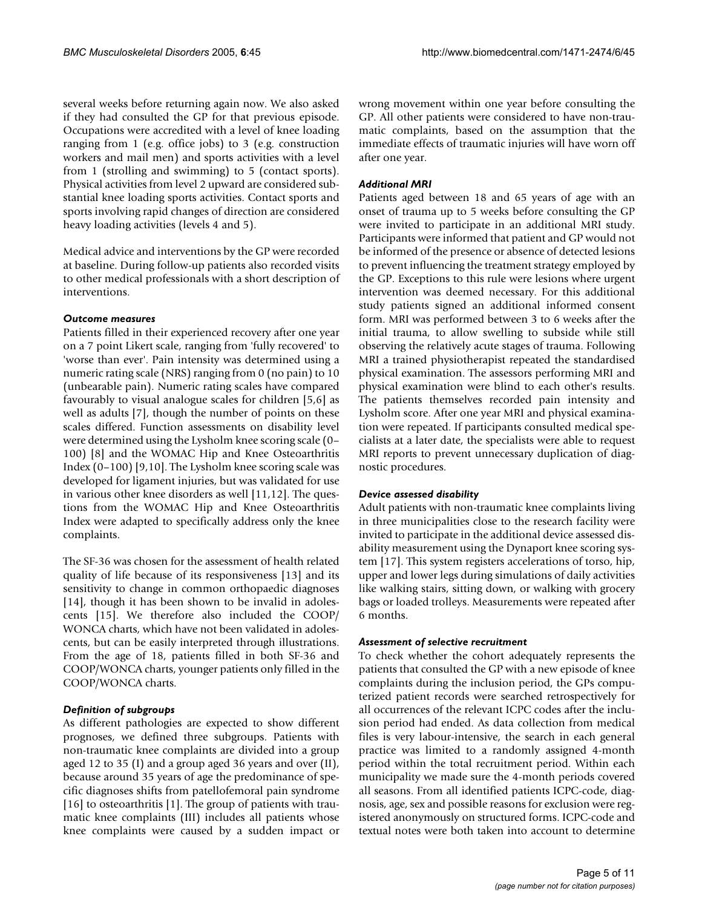several weeks before returning again now. We also asked if they had consulted the GP for that previous episode. Occupations were accredited with a level of knee loading ranging from 1 (e.g. office jobs) to 3 (e.g. construction workers and mail men) and sports activities with a level from 1 (strolling and swimming) to 5 (contact sports). Physical activities from level 2 upward are considered substantial knee loading sports activities. Contact sports and sports involving rapid changes of direction are considered heavy loading activities (levels 4 and 5).

Medical advice and interventions by the GP were recorded at baseline. During follow-up patients also recorded visits to other medical professionals with a short description of interventions.

# *Outcome measures*

Patients filled in their experienced recovery after one year on a 7 point Likert scale, ranging from 'fully recovered' to 'worse than ever'. Pain intensity was determined using a numeric rating scale (NRS) ranging from 0 (no pain) to 10 (unbearable pain). Numeric rating scales have compared favourably to visual analogue scales for children [5,6] as well as adults [7], though the number of points on these scales differed. Function assessments on disability level were determined using the Lysholm knee scoring scale (0– 100) [8] and the WOMAC Hip and Knee Osteoarthritis Index (0–100) [9,10]. The Lysholm knee scoring scale was developed for ligament injuries, but was validated for use in various other knee disorders as well [11,12]. The questions from the WOMAC Hip and Knee Osteoarthritis Index were adapted to specifically address only the knee complaints.

The SF-36 was chosen for the assessment of health related quality of life because of its responsiveness [13] and its sensitivity to change in common orthopaedic diagnoses [14], though it has been shown to be invalid in adolescents [15]. We therefore also included the COOP/ WONCA charts, which have not been validated in adolescents, but can be easily interpreted through illustrations. From the age of 18, patients filled in both SF-36 and COOP/WONCA charts, younger patients only filled in the COOP/WONCA charts.

# *Definition of subgroups*

As different pathologies are expected to show different prognoses, we defined three subgroups. Patients with non-traumatic knee complaints are divided into a group aged 12 to 35 (I) and a group aged 36 years and over (II), because around 35 years of age the predominance of specific diagnoses shifts from patellofemoral pain syndrome [16] to osteoarthritis [1]. The group of patients with traumatic knee complaints (III) includes all patients whose knee complaints were caused by a sudden impact or wrong movement within one year before consulting the GP. All other patients were considered to have non-traumatic complaints, based on the assumption that the immediate effects of traumatic injuries will have worn off after one year.

# *Additional MRI*

Patients aged between 18 and 65 years of age with an onset of trauma up to 5 weeks before consulting the GP were invited to participate in an additional MRI study. Participants were informed that patient and GP would not be informed of the presence or absence of detected lesions to prevent influencing the treatment strategy employed by the GP. Exceptions to this rule were lesions where urgent intervention was deemed necessary. For this additional study patients signed an additional informed consent form. MRI was performed between 3 to 6 weeks after the initial trauma, to allow swelling to subside while still observing the relatively acute stages of trauma. Following MRI a trained physiotherapist repeated the standardised physical examination. The assessors performing MRI and physical examination were blind to each other's results. The patients themselves recorded pain intensity and Lysholm score. After one year MRI and physical examination were repeated. If participants consulted medical specialists at a later date, the specialists were able to request MRI reports to prevent unnecessary duplication of diagnostic procedures.

# *Device assessed disability*

Adult patients with non-traumatic knee complaints living in three municipalities close to the research facility were invited to participate in the additional device assessed disability measurement using the Dynaport knee scoring system [17]. This system registers accelerations of torso, hip, upper and lower legs during simulations of daily activities like walking stairs, sitting down, or walking with grocery bags or loaded trolleys. Measurements were repeated after 6 months.

# *Assessment of selective recruitment*

To check whether the cohort adequately represents the patients that consulted the GP with a new episode of knee complaints during the inclusion period, the GPs computerized patient records were searched retrospectively for all occurrences of the relevant ICPC codes after the inclusion period had ended. As data collection from medical files is very labour-intensive, the search in each general practice was limited to a randomly assigned 4-month period within the total recruitment period. Within each municipality we made sure the 4-month periods covered all seasons. From all identified patients ICPC-code, diagnosis, age, sex and possible reasons for exclusion were registered anonymously on structured forms. ICPC-code and textual notes were both taken into account to determine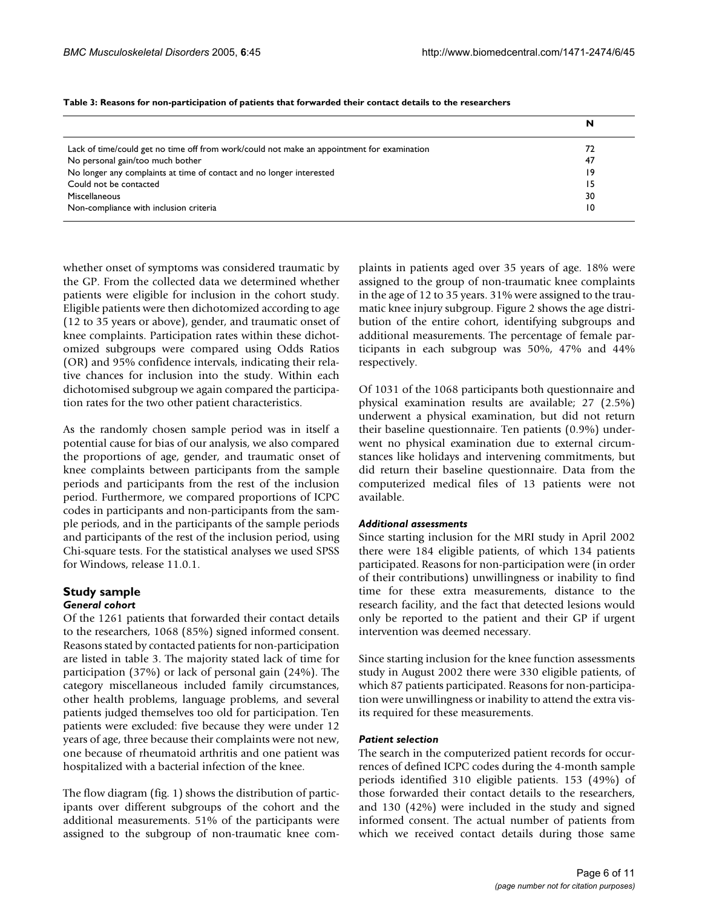|                                                                                            | N  |
|--------------------------------------------------------------------------------------------|----|
|                                                                                            |    |
| Lack of time/could get no time off from work/could not make an appointment for examination |    |
| No personal gain/too much bother                                                           | 47 |
| No longer any complaints at time of contact and no longer interested                       | 19 |
| Could not be contacted                                                                     |    |
| Miscellaneous                                                                              | 30 |
| Non-compliance with inclusion criteria                                                     | 10 |

**Table 3: Reasons for non-participation of patients that forwarded their contact details to the researchers**

whether onset of symptoms was considered traumatic by the GP. From the collected data we determined whether patients were eligible for inclusion in the cohort study. Eligible patients were then dichotomized according to age (12 to 35 years or above), gender, and traumatic onset of knee complaints. Participation rates within these dichotomized subgroups were compared using Odds Ratios (OR) and 95% confidence intervals, indicating their relative chances for inclusion into the study. Within each dichotomised subgroup we again compared the participation rates for the two other patient characteristics.

As the randomly chosen sample period was in itself a potential cause for bias of our analysis, we also compared the proportions of age, gender, and traumatic onset of knee complaints between participants from the sample periods and participants from the rest of the inclusion period. Furthermore, we compared proportions of ICPC codes in participants and non-participants from the sample periods, and in the participants of the sample periods and participants of the rest of the inclusion period, using Chi-square tests. For the statistical analyses we used SPSS for Windows, release 11.0.1.

# **Study sample**

#### *General cohort*

Of the 1261 patients that forwarded their contact details to the researchers, 1068 (85%) signed informed consent. Reasons stated by contacted patients for non-participation are listed in table 3. The majority stated lack of time for participation (37%) or lack of personal gain (24%). The category miscellaneous included family circumstances, other health problems, language problems, and several patients judged themselves too old for participation. Ten patients were excluded: five because they were under 12 years of age, three because their complaints were not new, one because of rheumatoid arthritis and one patient was hospitalized with a bacterial infection of the knee.

The flow diagram (fig. 1) shows the distribution of participants over different subgroups of the cohort and the additional measurements. 51% of the participants were assigned to the subgroup of non-traumatic knee complaints in patients aged over 35 years of age. 18% were assigned to the group of non-traumatic knee complaints in the age of 12 to 35 years. 31% were assigned to the traumatic knee injury subgroup. Figure [2](#page-7-0) shows the age distribution of the entire cohort, identifying subgroups and additional measurements. The percentage of female participants in each subgroup was 50%, 47% and 44% respectively.

Of 1031 of the 1068 participants both questionnaire and physical examination results are available; 27 (2.5%) underwent a physical examination, but did not return their baseline questionnaire. Ten patients (0.9%) underwent no physical examination due to external circumstances like holidays and intervening commitments, but did return their baseline questionnaire. Data from the computerized medical files of 13 patients were not available.

#### *Additional assessments*

Since starting inclusion for the MRI study in April 2002 there were 184 eligible patients, of which 134 patients participated. Reasons for non-participation were (in order of their contributions) unwillingness or inability to find time for these extra measurements, distance to the research facility, and the fact that detected lesions would only be reported to the patient and their GP if urgent intervention was deemed necessary.

Since starting inclusion for the knee function assessments study in August 2002 there were 330 eligible patients, of which 87 patients participated. Reasons for non-participation were unwillingness or inability to attend the extra visits required for these measurements.

# *Patient selection*

The search in the computerized patient records for occurrences of defined ICPC codes during the 4-month sample periods identified 310 eligible patients. 153 (49%) of those forwarded their contact details to the researchers, and 130 (42%) were included in the study and signed informed consent. The actual number of patients from which we received contact details during those same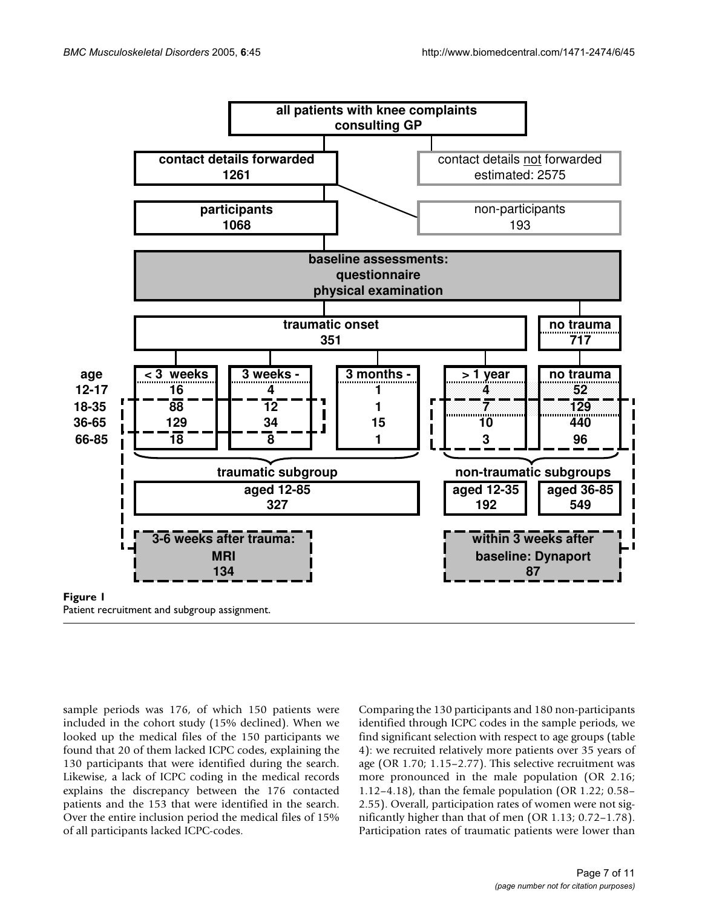

sample periods was 176, of which 150 patients were included in the cohort study (15% declined). When we looked up the medical files of the 150 participants we found that 20 of them lacked ICPC codes, explaining the 130 participants that were identified during the search. Likewise, a lack of ICPC coding in the medical records explains the discrepancy between the 176 contacted patients and the 153 that were identified in the search. Over the entire inclusion period the medical files of 15% of all participants lacked ICPC-codes.

Comparing the 130 participants and 180 non-participants identified through ICPC codes in the sample periods, we find significant selection with respect to age groups (table [4](#page-8-0)): we recruited relatively more patients over 35 years of age (OR 1.70; 1.15–2.77). This selective recruitment was more pronounced in the male population (OR 2.16; 1.12–4.18), than the female population (OR 1.22; 0.58– 2.55). Overall, participation rates of women were not significantly higher than that of men (OR 1.13; 0.72–1.78). Participation rates of traumatic patients were lower than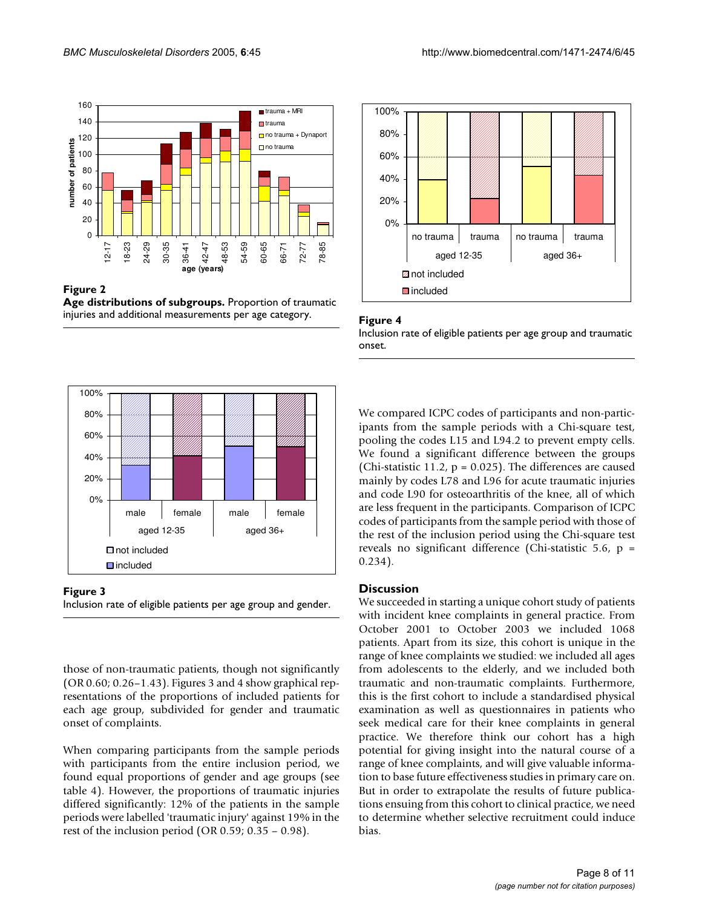<span id="page-7-0"></span>

#### **Figure 2**





**Figure 3** Inclusion rate of eligible patients per age group and gender.

those of non-traumatic patients, though not significantly (OR 0.60; 0.26–1.43). Figures 3 and 4 show graphical representations of the proportions of included patients for each age group, subdivided for gender and traumatic onset of complaints.

When comparing participants from the sample periods with participants from the entire inclusion period, we found equal proportions of gender and age groups (see table [4\)](#page-8-0). However, the proportions of traumatic injuries differed significantly: 12% of the patients in the sample periods were labelled 'traumatic injury' against 19% in the rest of the inclusion period (OR 0.59;  $0.35 - 0.98$ ).





Inclusion rate of eligible patients per age group and traumatic onset.

We compared ICPC codes of participants and non-participants from the sample periods with a Chi-square test, pooling the codes L15 and L94.2 to prevent empty cells. We found a significant difference between the groups (Chi-statistic 11.2,  $p = 0.025$ ). The differences are caused mainly by codes L78 and L96 for acute traumatic injuries and code L90 for osteoarthritis of the knee, all of which are less frequent in the participants. Comparison of ICPC codes of participants from the sample period with those of the rest of the inclusion period using the Chi-square test reveals no significant difference (Chi-statistic 5.6, p = 0.234).

### **Discussion**

We succeeded in starting a unique cohort study of patients with incident knee complaints in general practice. From October 2001 to October 2003 we included 1068 patients. Apart from its size, this cohort is unique in the range of knee complaints we studied: we included all ages from adolescents to the elderly, and we included both traumatic and non-traumatic complaints. Furthermore, this is the first cohort to include a standardised physical examination as well as questionnaires in patients who seek medical care for their knee complaints in general practice. We therefore think our cohort has a high potential for giving insight into the natural course of a range of knee complaints, and will give valuable information to base future effectiveness studies in primary care on. But in order to extrapolate the results of future publications ensuing from this cohort to clinical practice, we need to determine whether selective recruitment could induce bias.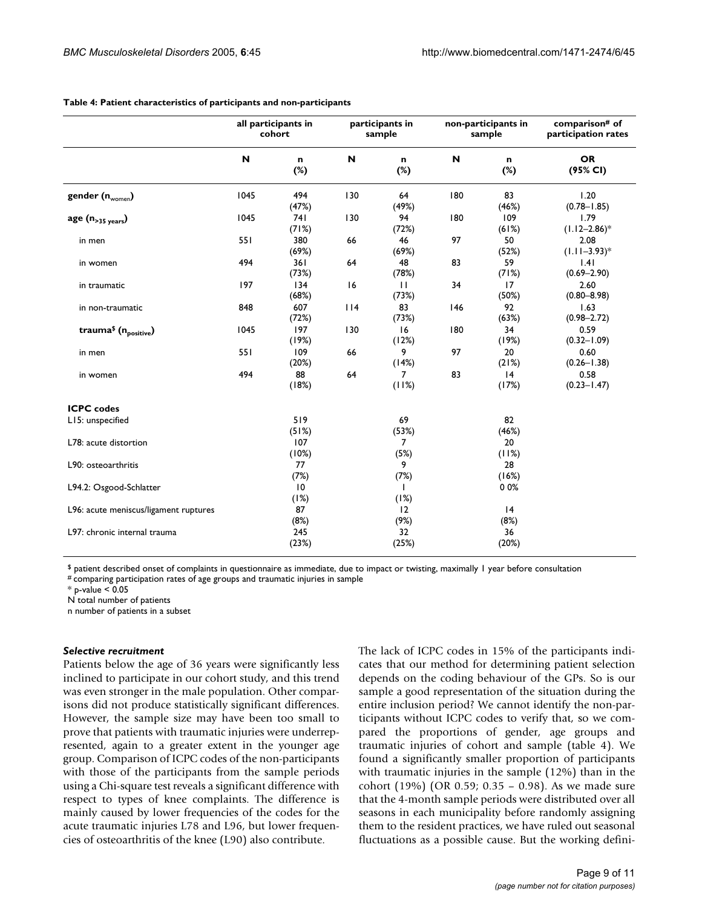|                                               | all participants in<br>cohort |                         | participants in<br>sample |                         | non-participants in<br>sample |                    | comparison# of<br>participation rates |
|-----------------------------------------------|-------------------------------|-------------------------|---------------------------|-------------------------|-------------------------------|--------------------|---------------------------------------|
|                                               | N                             | n<br>(%)                | N                         | n<br>(%)                | N                             | $\mathbf n$<br>(%) | <b>OR</b><br>(95% CI)                 |
| gender (n <sub>women</sub> )                  | 1045                          | 494<br>(47%)            | 130                       | 64<br>(49%)             | 180                           | 83<br>(46%)        | 1.20<br>$(0.78 - 1.85)$               |
| age (n <sub>&gt;35 years</sub> )              | 1045                          | 74 I<br>(71%)           | 130                       | 94<br>(72%)             | 180                           | 109<br>(61%)       | 1.79<br>$(1.12 - 2.86)^*$             |
| in men                                        | 551                           | 380<br>(69%)            | 66                        | 46<br>(69%)             | 97                            | 50<br>(52%)        | 2.08<br>$(1.11 - 3.93)^*$             |
| in women                                      | 494                           | 361<br>(73%)            | 64                        | 48<br>(78%)             | 83                            | 59<br>(71%)        | .4 <br>$(0.69 - 2.90)$                |
| in traumatic                                  | 197                           | 134<br>(68%)            | 16                        | $\mathbf{H}$<br>(73%)   | 34                            | 17<br>(50%)        | 2.60<br>$(0.80 - 8.98)$               |
| in non-traumatic                              | 848                           | 607<br>(72%)            | 114                       | 83<br>(73%)             | 146                           | 92<br>(63%)        | 1.63<br>$(0.98 - 2.72)$               |
| trauma <sup>\$</sup> (n <sub>positive</sub> ) | 1045                          | 197<br>(19%)            | 130                       | 16<br>(12%)             | 180                           | 34<br>(19%)        | 0.59<br>$(0.32 - 1.09)$               |
| in men                                        | 551                           | 109<br>(20%)            | 66                        | 9<br>(14%)              | 97                            | 20<br>(21%)        | 0.60<br>$(0.26 - 1.38)$               |
| in women                                      | 494                           | 88<br>(18%)             | 64                        | $\overline{7}$<br>(11%) | 83                            | 4<br>(17%)         | 0.58<br>$(0.23 - 1.47)$               |
| <b>ICPC</b> codes                             |                               |                         |                           |                         |                               |                    |                                       |
| L15: unspecified                              |                               | 519<br>(51%)            |                           | 69<br>(53%)             |                               | 82<br>(46%)        |                                       |
| L78: acute distortion                         |                               | 107<br>(10%)            |                           | 7<br>(5%)               |                               | 20<br>(11%)        |                                       |
| L90: osteoarthritis                           |                               | 77<br>(7%)              |                           | 9<br>(7%)               |                               | 28<br>(16%)        |                                       |
| L94.2: Osgood-Schlatter                       |                               | $\overline{10}$<br>(1%) |                           | Ш.<br>(1%)              |                               | 00%                |                                       |
| L96: acute meniscus/ligament ruptures         |                               | 87<br>(8%)              |                           | 12<br>(9%)              |                               | 4<br>(8%)          |                                       |
| L97: chronic internal trauma                  |                               | 245<br>(23%)            |                           | 32<br>(25%)             |                               | 36<br>(20%)        |                                       |

#### <span id="page-8-0"></span>**Table 4: Patient characteristics of participants and non-participants**

\$ patient described onset of complaints in questionnaire as immediate, due to impact or twisting, maximally 1 year before consultation

# comparing participation rates of age groups and traumatic injuries in sample

 $*$  p-value  $< 0.05$ 

N total number of patients

n number of patients in a subset

#### *Selective recruitment*

Patients below the age of 36 years were significantly less inclined to participate in our cohort study, and this trend was even stronger in the male population. Other comparisons did not produce statistically significant differences. However, the sample size may have been too small to prove that patients with traumatic injuries were underrepresented, again to a greater extent in the younger age group. Comparison of ICPC codes of the non-participants with those of the participants from the sample periods using a Chi-square test reveals a significant difference with respect to types of knee complaints. The difference is mainly caused by lower frequencies of the codes for the acute traumatic injuries L78 and L96, but lower frequencies of osteoarthritis of the knee (L90) also contribute.

The lack of ICPC codes in 15% of the participants indicates that our method for determining patient selection depends on the coding behaviour of the GPs. So is our sample a good representation of the situation during the entire inclusion period? We cannot identify the non-participants without ICPC codes to verify that, so we compared the proportions of gender, age groups and traumatic injuries of cohort and sample (table [4](#page-8-0)). We found a significantly smaller proportion of participants with traumatic injuries in the sample (12%) than in the cohort (19%) (OR 0.59; 0.35 – 0.98). As we made sure that the 4-month sample periods were distributed over all seasons in each municipality before randomly assigning them to the resident practices, we have ruled out seasonal fluctuations as a possible cause. But the working defini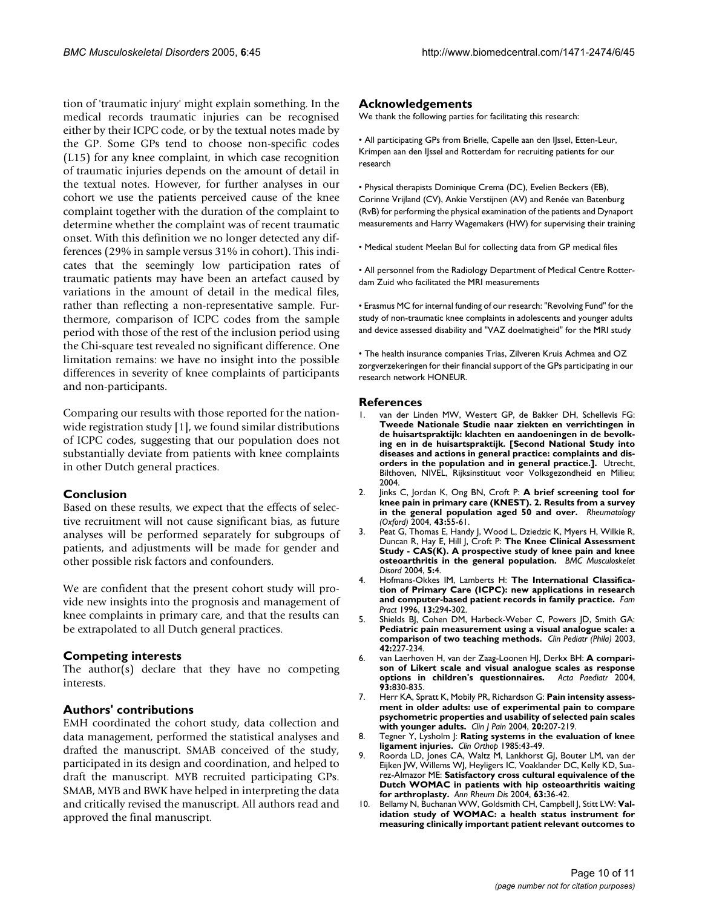tion of 'traumatic injury' might explain something. In the medical records traumatic injuries can be recognised either by their ICPC code, or by the textual notes made by the GP. Some GPs tend to choose non-specific codes (L15) for any knee complaint, in which case recognition of traumatic injuries depends on the amount of detail in the textual notes. However, for further analyses in our cohort we use the patients perceived cause of the knee complaint together with the duration of the complaint to determine whether the complaint was of recent traumatic onset. With this definition we no longer detected any differences (29% in sample versus 31% in cohort). This indicates that the seemingly low participation rates of traumatic patients may have been an artefact caused by variations in the amount of detail in the medical files, rather than reflecting a non-representative sample. Furthermore, comparison of ICPC codes from the sample period with those of the rest of the inclusion period using the Chi-square test revealed no significant difference. One limitation remains: we have no insight into the possible differences in severity of knee complaints of participants and non-participants.

Comparing our results with those reported for the nationwide registration study [1], we found similar distributions of ICPC codes, suggesting that our population does not substantially deviate from patients with knee complaints in other Dutch general practices.

### **Conclusion**

Based on these results, we expect that the effects of selective recruitment will not cause significant bias, as future analyses will be performed separately for subgroups of patients, and adjustments will be made for gender and other possible risk factors and confounders.

We are confident that the present cohort study will provide new insights into the prognosis and management of knee complaints in primary care, and that the results can be extrapolated to all Dutch general practices.

### **Competing interests**

The author(s) declare that they have no competing interests.

### **Authors' contributions**

EMH coordinated the cohort study, data collection and data management, performed the statistical analyses and drafted the manuscript. SMAB conceived of the study, participated in its design and coordination, and helped to draft the manuscript. MYB recruited participating GPs. SMAB, MYB and BWK have helped in interpreting the data and critically revised the manuscript. All authors read and approved the final manuscript.

### **Acknowledgements**

We thank the following parties for facilitating this research:

• All participating GPs from Brielle, Capelle aan den IJssel, Etten-Leur, Krimpen aan den IJssel and Rotterdam for recruiting patients for our research

• Physical therapists Dominique Crema (DC), Evelien Beckers (EB), Corinne Vrijland (CV), Ankie Verstijnen (AV) and Renée van Batenburg (RvB) for performing the physical examination of the patients and Dynaport measurements and Harry Wagemakers (HW) for supervising their training

• Medical student Meelan Bul for collecting data from GP medical files

• All personnel from the Radiology Department of Medical Centre Rotterdam Zuid who facilitated the MRI measurements

• Erasmus MC for internal funding of our research: "Revolving Fund" for the study of non-traumatic knee complaints in adolescents and younger adults and device assessed disability and "VAZ doelmatigheid" for the MRI study

• The health insurance companies Trias, Zilveren Kruis Achmea and OZ zorgverzekeringen for their financial support of the GPs participating in our research network HONEUR.

#### **References**

- van der Linden MW, Westert GP, de Bakker DH, Schellevis FG: **Tweede Nationale Studie naar ziekten en verrichtingen in de huisartspraktijk: klachten en aandoeningen in de bevolking en in de huisartspraktijk. [Second National Study into diseases and actions in general practice: complaints and disorders in the population and in general practice.].** Utrecht, Bilthoven, NIVEL, Rijksinstituut voor Volksgezondheid en Milieu; 2004.
- 2. Jinks C, Jordan K, Ong BN, Croft P: **[A brief screening tool for](http://www.ncbi.nlm.nih.gov/entrez/query.fcgi?cmd=Retrieve&db=PubMed&dopt=Abstract&list_uids=12923283) [knee pain in primary care \(KNEST\). 2. Results from a survey](http://www.ncbi.nlm.nih.gov/entrez/query.fcgi?cmd=Retrieve&db=PubMed&dopt=Abstract&list_uids=12923283) [in the general population aged 50 and over.](http://www.ncbi.nlm.nih.gov/entrez/query.fcgi?cmd=Retrieve&db=PubMed&dopt=Abstract&list_uids=12923283)** *Rheumatology (Oxford)* 2004, **43:**55-61.
- 3. Peat G, Thomas E, Handy J, Wood L, Dziedzic K, Myers H, Wilkie R, Duncan R, Hay E, Hill J, Croft P: **[The Knee Clinical Assessment](http://www.ncbi.nlm.nih.gov/entrez/query.fcgi?cmd=Retrieve&db=PubMed&dopt=Abstract&list_uids=15028109) [Study - CAS\(K\). A prospective study of knee pain and knee](http://www.ncbi.nlm.nih.gov/entrez/query.fcgi?cmd=Retrieve&db=PubMed&dopt=Abstract&list_uids=15028109) [osteoarthritis in the general population.](http://www.ncbi.nlm.nih.gov/entrez/query.fcgi?cmd=Retrieve&db=PubMed&dopt=Abstract&list_uids=15028109)** *BMC Musculoskelet Disord* 2004, **5:**4.
- 4. Hofmans-Okkes IM, Lamberts H: **[The International Classifica](http://www.ncbi.nlm.nih.gov/entrez/query.fcgi?cmd=Retrieve&db=PubMed&dopt=Abstract&list_uids=8671139)[tion of Primary Care \(ICPC\): new applications in research](http://www.ncbi.nlm.nih.gov/entrez/query.fcgi?cmd=Retrieve&db=PubMed&dopt=Abstract&list_uids=8671139) [and computer-based patient records in family practice.](http://www.ncbi.nlm.nih.gov/entrez/query.fcgi?cmd=Retrieve&db=PubMed&dopt=Abstract&list_uids=8671139)** *Fam Pract* 1996, **13:**294-302.
- 5. Shields BJ, Cohen DM, Harbeck-Weber C, Powers JD, Smith GA: **[Pediatric pain measurement using a visual analogue scale: a](http://www.ncbi.nlm.nih.gov/entrez/query.fcgi?cmd=Retrieve&db=PubMed&dopt=Abstract&list_uids=12739921) [comparison of two teaching methods.](http://www.ncbi.nlm.nih.gov/entrez/query.fcgi?cmd=Retrieve&db=PubMed&dopt=Abstract&list_uids=12739921)** *Clin Pediatr (Phila)* 2003, **42:**227-234.
- 6. van Laerhoven H, van der Zaag-Loonen HJ, Derkx BH: **[A compari](http://www.ncbi.nlm.nih.gov/entrez/query.fcgi?cmd=Retrieve&db=PubMed&dopt=Abstract&list_uids=15244235)[son of Likert scale and visual analogue scales as response](http://www.ncbi.nlm.nih.gov/entrez/query.fcgi?cmd=Retrieve&db=PubMed&dopt=Abstract&list_uids=15244235) [options in children's questionnaires.](http://www.ncbi.nlm.nih.gov/entrez/query.fcgi?cmd=Retrieve&db=PubMed&dopt=Abstract&list_uids=15244235)** *Acta Paediatr* 2004, **93:**830-835.
- 7. Herr KA, Spratt K, Mobily PR, Richardson G: **[Pain intensity assess](http://www.ncbi.nlm.nih.gov/entrez/query.fcgi?cmd=Retrieve&db=PubMed&dopt=Abstract&list_uids=15218405)ment in older adults: use of experimental pain to compare [psychometric properties and usability of selected pain scales](http://www.ncbi.nlm.nih.gov/entrez/query.fcgi?cmd=Retrieve&db=PubMed&dopt=Abstract&list_uids=15218405) [with younger adults.](http://www.ncbi.nlm.nih.gov/entrez/query.fcgi?cmd=Retrieve&db=PubMed&dopt=Abstract&list_uids=15218405)** *Clin J Pain* 2004, **20:**207-219.
- 8. Tegner Y, Lysholm J: **[Rating systems in the evaluation of knee](http://www.ncbi.nlm.nih.gov/entrez/query.fcgi?cmd=Retrieve&db=PubMed&dopt=Abstract&list_uids=4028566) [ligament injuries.](http://www.ncbi.nlm.nih.gov/entrez/query.fcgi?cmd=Retrieve&db=PubMed&dopt=Abstract&list_uids=4028566)** *Clin Orthop* 1985:43-49.
- 9. Roorda LD, Jones CA, Waltz M, Lankhorst GJ, Bouter LM, van der Eijken JW, Willems WJ, Heyligers IC, Voaklander DC, Kelly KD, Suarez-Almazor ME: **[Satisfactory cross cultural equivalence of the](http://www.ncbi.nlm.nih.gov/entrez/query.fcgi?cmd=Retrieve&db=PubMed&dopt=Abstract&list_uids=14672889) [Dutch WOMAC in patients with hip osteoarthritis waiting](http://www.ncbi.nlm.nih.gov/entrez/query.fcgi?cmd=Retrieve&db=PubMed&dopt=Abstract&list_uids=14672889) [for arthroplasty.](http://www.ncbi.nlm.nih.gov/entrez/query.fcgi?cmd=Retrieve&db=PubMed&dopt=Abstract&list_uids=14672889)** *Ann Rheum Dis* 2004, **63:**36-42.
- 10. Bellamy N, Buchanan WW, Goldsmith CH, Campbell J, Stitt LW: **[Val](http://www.ncbi.nlm.nih.gov/entrez/query.fcgi?cmd=Retrieve&db=PubMed&dopt=Abstract&list_uids=3068365)[idation study of WOMAC: a health status instrument for](http://www.ncbi.nlm.nih.gov/entrez/query.fcgi?cmd=Retrieve&db=PubMed&dopt=Abstract&list_uids=3068365) [measuring clinically important patient relevant outcomes to](http://www.ncbi.nlm.nih.gov/entrez/query.fcgi?cmd=Retrieve&db=PubMed&dopt=Abstract&list_uids=3068365)**